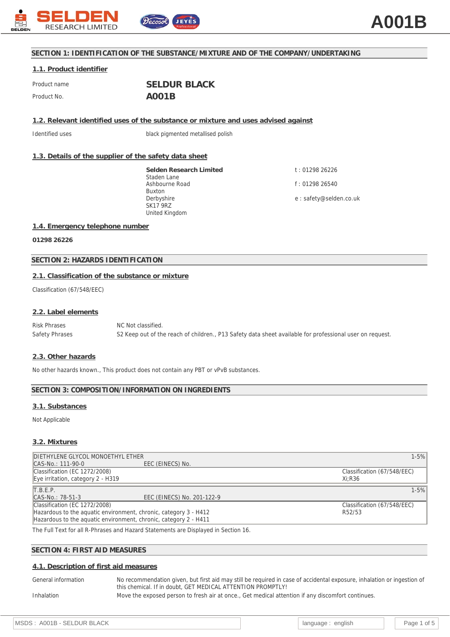

## **SECTION 1: IDENTIFICATION OF THE SUBSTANCE/MIXTURE AND OF THE COMPANY/UNDERTAKING**

#### **1.1. Product identifier**

| Product name | <b>SELDUR BLACK</b> |
|--------------|---------------------|
| Product No.  | A001B               |

**1.2. Relevant identified uses of the substance or mixture and uses advised against**

Identified uses black pigmented metallised polish

# **1.3. Details of the supplier of the safety data sheet**

**Selden Research Limited** Staden Lane Ashbourne Road Buxton Derbyshire SK17 9RZ United Kingdom

t : 01298 26226 f : 01298 26540 e : safety@selden.co.uk

#### **1.4. Emergency telephone number**

**01298 26226**

# **SECTION 2: HAZARDS IDENTIFICATION**

#### **2.1. Classification of the substance or mixture**

Classification (67/548/EEC)

#### **2.2. Label elements**

Risk Phrases NC Not classified. Safety Phrases S2 Keep out of the reach of children., P13 Safety data sheet available for professional user on request.

#### **2.3. Other hazards**

No other hazards known., This product does not contain any PBT or vPvB substances.

#### **SECTION 3: COMPOSITION/INFORMATION ON INGREDIENTS**

#### **3.1. Substances**

Not Applicable

## **3.2. Mixtures**

| DIETHYLENE GLYCOL MONOETHYL ETHER                                |                                                                                                                                                                                                                                   | $1 - 5%$                    |
|------------------------------------------------------------------|-----------------------------------------------------------------------------------------------------------------------------------------------------------------------------------------------------------------------------------|-----------------------------|
| CAS-No.: 111-90-0                                                | EEC (EINECS) No.                                                                                                                                                                                                                  |                             |
| Classification (EC 1272/2008)                                    |                                                                                                                                                                                                                                   | Classification (67/548/EEC) |
| Eye irritation, category $2 - H319$                              |                                                                                                                                                                                                                                   | Xi:R36                      |
| T.B.E.P.                                                         |                                                                                                                                                                                                                                   | $1 - 5%$                    |
| CAS-No.: 78-51-3                                                 | EEC (EINECS) No. 201-122-9                                                                                                                                                                                                        |                             |
| Classification (EC 1272/2008)                                    |                                                                                                                                                                                                                                   | Classification (67/548/EEC) |
| Hazardous to the aquatic environment, chronic, category 3 - H412 |                                                                                                                                                                                                                                   | R52/53                      |
| Hazardous to the aguatic environment, chronic, category 2 - H411 |                                                                                                                                                                                                                                   |                             |
|                                                                  | $\mathbf{a}$ . The contract of the contract of the contract of the contract of the contract of the contract of the contract of the contract of the contract of the contract of the contract of the contract of the contract of th |                             |

The Full Text for all R-Phrases and Hazard Statements are Displayed in Section 16.

## **SECTION 4: FIRST AID MEASURES**

#### **4.1. Description of first aid measures**

General information No recommendation given, but first aid may still be required in case of accidental exposure, inhalation or ingestion of this chemical. If in doubt, GET MEDICAL ATTENTION PROMPTLY! Inhalation Move the exposed person to fresh air at once., Get medical attention if any discomfort continues.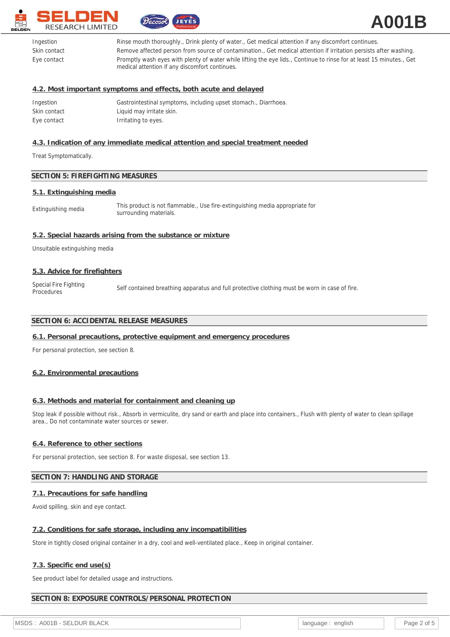



| Ingestion    | Rinse mouth thoroughly., Drink plenty of water., Get medical attention if any discomfort continues.                                                                    |
|--------------|------------------------------------------------------------------------------------------------------------------------------------------------------------------------|
| Skin contact | Remove affected person from source of contamination., Get medical attention if irritation persists after washing.                                                      |
| Eye contact  | Promptly wash eyes with plenty of water while lifting the eye lids., Continue to rinse for at least 15 minutes., Get<br>medical attention if any discomfort continues. |

## **4.2. Most important symptoms and effects, both acute and delayed**

| Ingestion    | Gastrointestinal symptoms, including upset stomach., Diarrhoea. |
|--------------|-----------------------------------------------------------------|
| Skin contact | Liquid may irritate skin.                                       |
| Eye contact  | Irritating to eyes.                                             |

# **4.3. Indication of any immediate medical attention and special treatment needed**

Treat Symptomatically.

# **SECTION 5: FIREFIGHTING MEASURES**

#### **5.1. Extinguishing media**

| Extinguishing media | This product is not flammable., Use fire-extinguishing media appropriate for<br>surrounding materials. |
|---------------------|--------------------------------------------------------------------------------------------------------|
|---------------------|--------------------------------------------------------------------------------------------------------|

#### **5.2. Special hazards arising from the substance or mixture**

Unsuitable extinguishing media

#### **5.3. Advice for firefighters**

Special Fire Fighting<br>Procedures Self contained breathing apparatus and full protective clothing must be worn in case of fire.

# **SECTION 6: ACCIDENTAL RELEASE MEASURES**

#### **6.1. Personal precautions, protective equipment and emergency procedures**

For personal protection, see section 8.

#### **6.2. Environmental precautions**

## **6.3. Methods and material for containment and cleaning up**

Stop leak if possible without risk., Absorb in vermiculite, dry sand or earth and place into containers., Flush with plenty of water to clean spillage area., Do not contaminate water sources or sewer.

#### **6.4. Reference to other sections**

For personal protection, see section 8. For waste disposal, see section 13.

# **SECTION 7: HANDLING AND STORAGE**

### **7.1. Precautions for safe handling**

Avoid spilling, skin and eye contact.

#### **7.2. Conditions for safe storage, including any incompatibilities**

Store in tightly closed original container in a dry, cool and well-ventilated place., Keep in original container.

#### **7.3. Specific end use(s)**

See product label for detailed usage and instructions.

#### **SECTION 8: EXPOSURE CONTROLS/PERSONAL PROTECTION**

MSDS : A001B - SELDUR BLACK **intervalse in the set of the set of the set of the page 2** of 5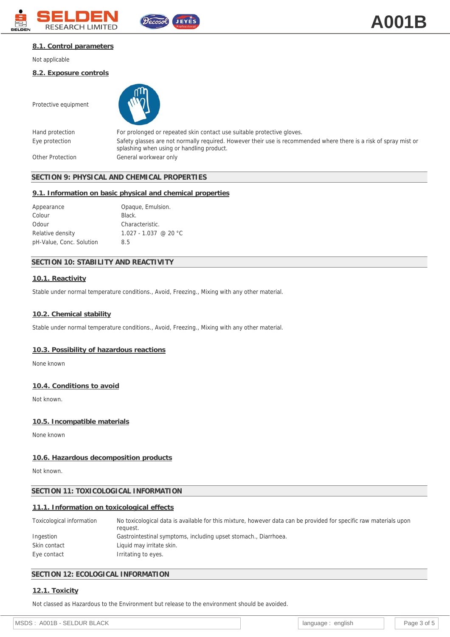



### **8.1. Control parameters**

Not applicable

**8.2. Exposure controls**

Protective equipment

Hand protection For prolonged or repeated skin contact use suitable protective gloves. Eye protection Safety glasses are not normally required. However their use is recommended where there is a risk of spray mist or splashing when using or handling product. Other Protection General workwear only

# **SECTION 9: PHYSICAL AND CHEMICAL PROPERTIES**

#### **9.1. Information on basic physical and chemical properties**

| Appearance               | Opaque, Emulsion.       |
|--------------------------|-------------------------|
| Colour                   | Black.                  |
| Odour                    | Characteristic.         |
| Relative density         | $1.027 - 1.037$ @ 20 °C |
| pH-Value, Conc. Solution | 8.5                     |
|                          |                         |

# **SECTION 10: STABILITY AND REACTIVITY**

#### **10.1. Reactivity**

Stable under normal temperature conditions., Avoid, Freezing., Mixing with any other material.

#### **10.2. Chemical stability**

Stable under normal temperature conditions., Avoid, Freezing., Mixing with any other material.

#### **10.3. Possibility of hazardous reactions**

None known

## **10.4. Conditions to avoid**

Not known.

#### **10.5. Incompatible materials**

None known

#### **10.6. Hazardous decomposition products**

Not known.

#### **SECTION 11: TOXICOLOGICAL INFORMATION**

#### **11.1. Information on toxicological effects**

| Toxicological information | No toxicological data is available for this mixture, however data can be provided for specific raw materials upon<br>request. |
|---------------------------|-------------------------------------------------------------------------------------------------------------------------------|
| Ingestion                 | Gastrointestinal symptoms, including upset stomach., Diarrhoea.                                                               |
| Skin contact              | Liquid may irritate skin.                                                                                                     |
| Eye contact               | Irritating to eyes.                                                                                                           |

# **SECTION 12: ECOLOGICAL INFORMATION**

#### **12.1. Toxicity**

Not classed as Hazardous to the Environment but release to the environment should be avoided.

| ACK<br>MS<br>BI<br>DI JR<br>A(U)<br>$- -$ |  | enalish<br>пиаоғ<br>land<br>. . |  |  |
|-------------------------------------------|--|---------------------------------|--|--|
|-------------------------------------------|--|---------------------------------|--|--|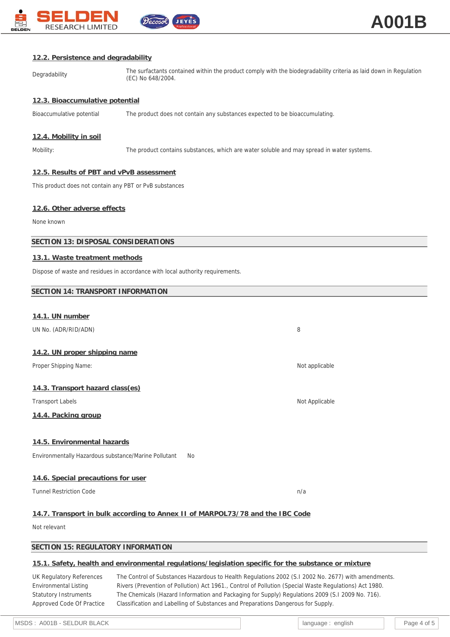

| 12.2. Persistence and degradability                                      |                                                                                                                                        |                |  |  |
|--------------------------------------------------------------------------|----------------------------------------------------------------------------------------------------------------------------------------|----------------|--|--|
| Degradability                                                            | The surfactants contained within the product comply with the biodegradability criteria as laid down in Regulation<br>(EC) No 648/2004. |                |  |  |
| 12.3. Bioaccumulative potential                                          |                                                                                                                                        |                |  |  |
| Bioaccumulative potential                                                | The product does not contain any substances expected to be bioaccumulating.                                                            |                |  |  |
| 12.4. Mobility in soil                                                   |                                                                                                                                        |                |  |  |
| Mobility:                                                                | The product contains substances, which are water soluble and may spread in water systems.                                              |                |  |  |
| 12.5. Results of PBT and vPvB assessment                                 |                                                                                                                                        |                |  |  |
| This product does not contain any PBT or PvB substances                  |                                                                                                                                        |                |  |  |
| 12.6. Other adverse effects                                              |                                                                                                                                        |                |  |  |
| None known                                                               |                                                                                                                                        |                |  |  |
| SECTION 13: DISPOSAL CONSIDERATIONS                                      |                                                                                                                                        |                |  |  |
| 13.1. Waste treatment methods                                            |                                                                                                                                        |                |  |  |
|                                                                          | Dispose of waste and residues in accordance with local authority requirements.                                                         |                |  |  |
| SECTION 14: TRANSPORT INFORMATION                                        |                                                                                                                                        |                |  |  |
|                                                                          |                                                                                                                                        |                |  |  |
| 14.1. UN number<br>UN No. (ADR/RID/ADN)                                  |                                                                                                                                        | 8              |  |  |
|                                                                          |                                                                                                                                        |                |  |  |
| 14.2. UN proper shipping name<br>Proper Shipping Name:<br>Not applicable |                                                                                                                                        |                |  |  |
| 14.3. Transport hazard class(es)                                         |                                                                                                                                        |                |  |  |
| <b>Transport Labels</b>                                                  |                                                                                                                                        | Not Applicable |  |  |
| 14.4. Packing group                                                      |                                                                                                                                        |                |  |  |
| 14.5. Environmental hazards                                              |                                                                                                                                        |                |  |  |
| Environmentally Hazardous substance/Marine Pollutant                     | No                                                                                                                                     |                |  |  |
| 14.6. Special precautions for user                                       |                                                                                                                                        |                |  |  |
| <b>Tunnel Restriction Code</b>                                           |                                                                                                                                        | n/a            |  |  |
|                                                                          |                                                                                                                                        |                |  |  |

# **14.7. Transport in bulk according to Annex II of MARPOL73/78 and the IBC Code**

Not relevant

# **SECTION 15: REGULATORY INFORMATION**

# **15.1. Safety, health and environmental regulations/legislation specific for the substance or mixture**

UK Regulatory References The Control of Substances Hazardous to Health Regulations 2002 (S.I 2002 No. 2677) with amendments. Environmental Listing Rivers (Prevention of Pollution) Act 1961., Control of Pollution (Special Waste Regulations) Act 1980. Statutory Instruments The Chemicals (Hazard Information and Packaging for Supply) Regulations 2009 (S.I 2009 No. 716). Approved Code Of Practice Classification and Labelling of Substances and Preparations Dangerous for Supply.